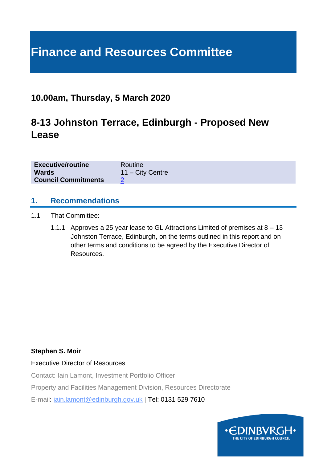# **Finance and Resources Committee**

### **10.00am, Thursday, 5 March 2020**

### **8-13 Johnston Terrace, Edinburgh - Proposed New Lease**

| <b>Executive/routine</b>   | Routine            |
|----------------------------|--------------------|
| <b>Wards</b>               | $11 - City$ Centre |
| <b>Council Commitments</b> |                    |

#### **1. Recommendations**

- 1.1 That Committee:
	- 1.1.1 Approves a 25 year lease to GL Attractions Limited of premises at 8 13 Johnston Terrace, Edinburgh, on the terms outlined in this report and on other terms and conditions to be agreed by the Executive Director of Resources.

#### **Stephen S. Moir**

Executive Director of Resources

Contact: Iain Lamont, Investment Portfolio Officer

Property and Facilities Management Division, Resources Directorate

E-mail: iain.lamont@edinburgh.gov.uk | Tel: 0131 529 7610

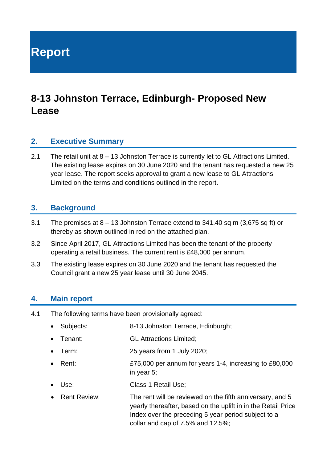**Report**

## **8-13 Johnston Terrace, Edinburgh- Proposed New Lease**

#### **2. Executive Summary**

2.1 The retail unit at 8 – 13 Johnston Terrace is currently let to GL Attractions Limited. The existing lease expires on 30 June 2020 and the tenant has requested a new 25 year lease. The report seeks approval to grant a new lease to GL Attractions Limited on the terms and conditions outlined in the report.

#### **3. Background**

- 3.1 The premises at 8 13 Johnston Terrace extend to 341.40 sq m (3,675 sq ft) or thereby as shown outlined in red on the attached plan.
- 3.2 Since April 2017, GL Attractions Limited has been the tenant of the property operating a retail business. The current rent is £48,000 per annum.
- 3.3 The existing lease expires on 30 June 2020 and the tenant has requested the Council grant a new 25 year lease until 30 June 2045.

#### **4. Main report**

- 4.1 The following terms have been provisionally agreed:
	- Subjects: 8-13 Johnston Terrace, Edinburgh;
	- Tenant: GL Attractions Limited;
	- Term: 25 years from 1 July 2020;
	- Rent: E75,000 per annum for years 1-4, increasing to £80,000 in year 5;
	- Use: Class 1 Retail Use:
	- Rent Review: The rent will be reviewed on the fifth anniversary, and 5 yearly thereafter, based on the uplift in in the Retail Price Index over the preceding 5 year period subject to a collar and cap of 7.5% and 12.5%;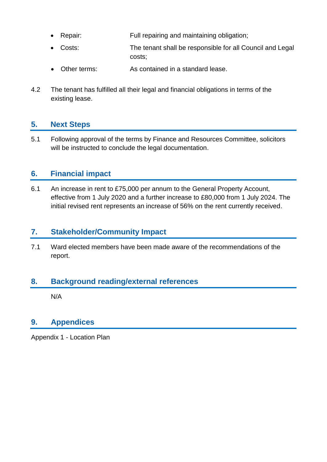- Repair: Full repairing and maintaining obligation;
- Costs: The tenant shall be responsible for all Council and Legal costs;
- Other terms: As contained in a standard lease.
- 4.2 The tenant has fulfilled all their legal and financial obligations in terms of the existing lease.

#### **5. Next Steps**

5.1 Following approval of the terms by Finance and Resources Committee, solicitors will be instructed to conclude the legal documentation.

#### **6. Financial impact**

6.1 An increase in rent to £75,000 per annum to the General Property Account, effective from 1 July 2020 and a further increase to £80,000 from 1 July 2024. The initial revised rent represents an increase of 56% on the rent currently received.

#### **7. Stakeholder/Community Impact**

7.1 Ward elected members have been made aware of the recommendations of the report.

#### **8. Background reading/external references**

N/A

#### **9. Appendices**

Appendix 1 - Location Plan